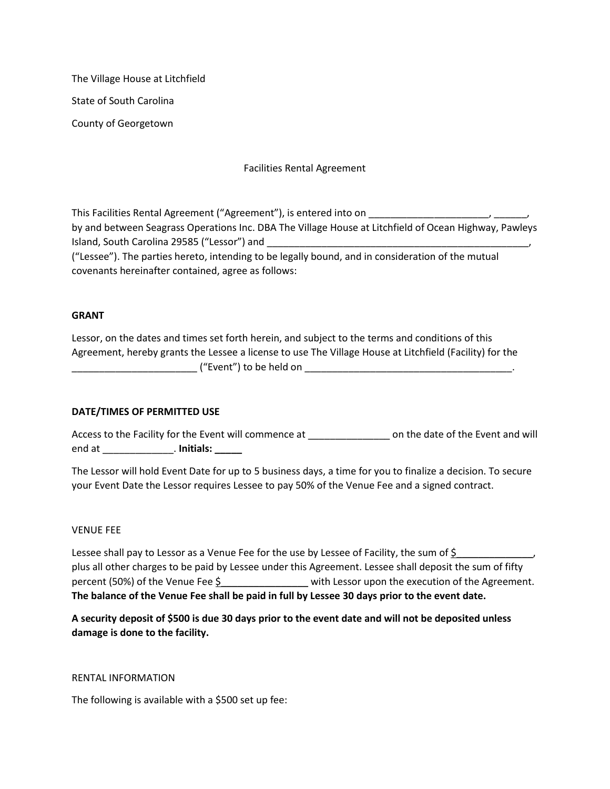The Village House at Litchfield State of South Carolina County of Georgetown

Facilities Rental Agreement

This Facilities Rental Agreement ("Agreement"), is entered into on by and between Seagrass Operations Inc. DBA The Village House at Litchfield of Ocean Highway, Pawleys Island, South Carolina 29585 ("Lessor") and

("Lessee"). The parties hereto, intending to be legally bound, and in consideration of the mutual covenants hereinafter contained, agree as follows:

# **GRANT**

Lessor, on the dates and times set forth herein, and subject to the terms and conditions of this Agreement, hereby grants the Lessee a license to use The Village House at Litchfield (Facility) for the  $($  "Event") to be held on

# **DATE/TIMES OF PERMITTED USE**

Access to the Facility for the Event will commence at \_\_\_\_\_\_\_\_\_\_\_\_\_\_\_\_\_\_\_\_ on the date of the Event and will end at \_\_\_\_\_\_\_\_\_\_\_\_\_. **Initials: \_\_\_\_\_**

The Lessor will hold Event Date for up to 5 business days, a time for you to finalize a decision. To secure your Event Date the Lessor requires Lessee to pay 50% of the Venue Fee and a signed contract.

### VENUE FEE

Lessee shall pay to Lessor as a Venue Fee for the use by Lessee of Facility, the sum of  $\frac{1}{2}$ plus all other charges to be paid by Lessee under this Agreement. Lessee shall deposit the sum of fifty percent (50%) of the Venue Fee \$\_\_\_\_\_\_\_\_\_\_\_\_\_\_\_\_ with Lessor upon the execution of the Agreement. **The balance of the Venue Fee shall be paid in full by Lessee 30 days prior to the event date.**

**A security deposit of \$500 is due 30 days prior to the event date and will not be deposited unless damage is done to the facility.** 

### RENTAL INFORMATION

The following is available with a \$500 set up fee: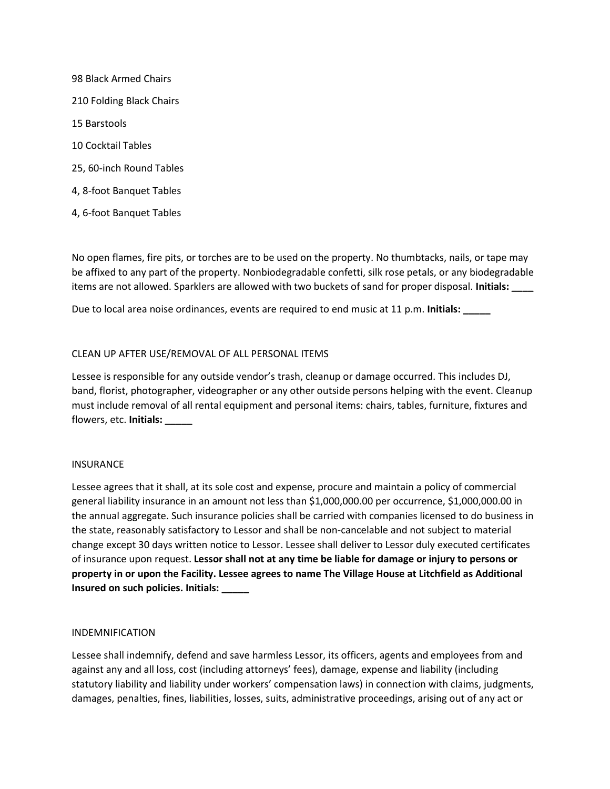98 Black Armed Chairs 210 Folding Black Chairs 15 Barstools 10 Cocktail Tables 25, 60-inch Round Tables 4, 8-foot Banquet Tables 4, 6-foot Banquet Tables

No open flames, fire pits, or torches are to be used on the property. No thumbtacks, nails, or tape may be affixed to any part of the property. Nonbiodegradable confetti, silk rose petals, or any biodegradable items are not allowed. Sparklers are allowed with two buckets of sand for proper disposal. **Initials: \_\_\_\_**

Due to local area noise ordinances, events are required to end music at 11 p.m. **Initials: \_\_\_\_\_**

### CLEAN UP AFTER USE/REMOVAL OF ALL PERSONAL ITEMS

Lessee is responsible for any outside vendor's trash, cleanup or damage occurred. This includes DJ, band, florist, photographer, videographer or any other outside persons helping with the event. Cleanup must include removal of all rental equipment and personal items: chairs, tables, furniture, fixtures and flowers, etc. **Initials: \_\_\_\_\_**

### INSURANCE

Lessee agrees that it shall, at its sole cost and expense, procure and maintain a policy of commercial general liability insurance in an amount not less than \$1,000,000.00 per occurrence, \$1,000,000.00 in the annual aggregate. Such insurance policies shall be carried with companies licensed to do business in the state, reasonably satisfactory to Lessor and shall be non-cancelable and not subject to material change except 30 days written notice to Lessor. Lessee shall deliver to Lessor duly executed certificates of insurance upon request. **Lessor shall not at any time be liable for damage or injury to persons or property in or upon the Facility. Lessee agrees to name The Village House at Litchfield as Additional Insured on such policies. Initials: \_\_\_\_\_**

### INDEMNIFICATION

Lessee shall indemnify, defend and save harmless Lessor, its officers, agents and employees from and against any and all loss, cost (including attorneys' fees), damage, expense and liability (including statutory liability and liability under workers' compensation laws) in connection with claims, judgments, damages, penalties, fines, liabilities, losses, suits, administrative proceedings, arising out of any act or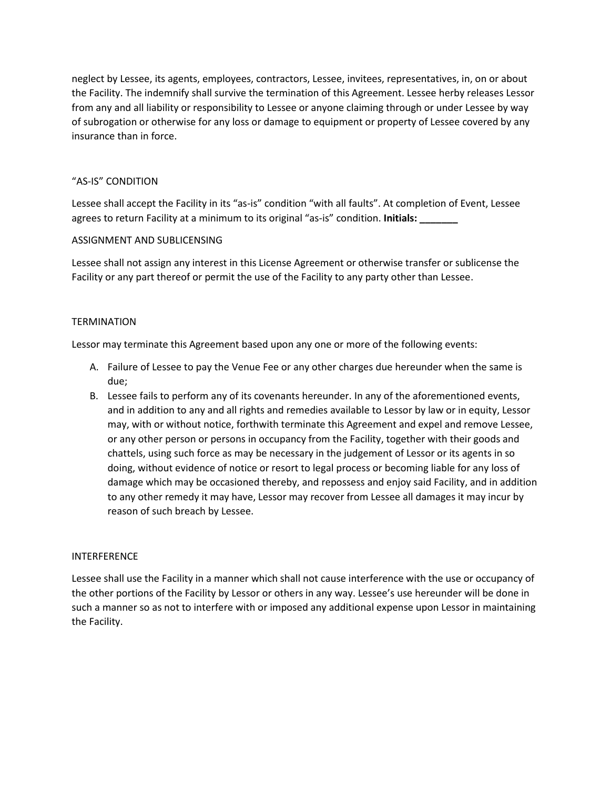neglect by Lessee, its agents, employees, contractors, Lessee, invitees, representatives, in, on or about the Facility. The indemnify shall survive the termination of this Agreement. Lessee herby releases Lessor from any and all liability or responsibility to Lessee or anyone claiming through or under Lessee by way of subrogation or otherwise for any loss or damage to equipment or property of Lessee covered by any insurance than in force.

# "AS-IS" CONDITION

Lessee shall accept the Facility in its "as-is" condition "with all faults". At completion of Event, Lessee agrees to return Facility at a minimum to its original "as-is" condition. **Initials: \_\_\_\_\_\_\_**

### ASSIGNMENT AND SUBLICENSING

Lessee shall not assign any interest in this License Agreement or otherwise transfer or sublicense the Facility or any part thereof or permit the use of the Facility to any party other than Lessee.

### **TERMINATION**

Lessor may terminate this Agreement based upon any one or more of the following events:

- A. Failure of Lessee to pay the Venue Fee or any other charges due hereunder when the same is due;
- B. Lessee fails to perform any of its covenants hereunder. In any of the aforementioned events, and in addition to any and all rights and remedies available to Lessor by law or in equity, Lessor may, with or without notice, forthwith terminate this Agreement and expel and remove Lessee, or any other person or persons in occupancy from the Facility, together with their goods and chattels, using such force as may be necessary in the judgement of Lessor or its agents in so doing, without evidence of notice or resort to legal process or becoming liable for any loss of damage which may be occasioned thereby, and repossess and enjoy said Facility, and in addition to any other remedy it may have, Lessor may recover from Lessee all damages it may incur by reason of such breach by Lessee.

### INTERFERENCE

Lessee shall use the Facility in a manner which shall not cause interference with the use or occupancy of the other portions of the Facility by Lessor or others in any way. Lessee's use hereunder will be done in such a manner so as not to interfere with or imposed any additional expense upon Lessor in maintaining the Facility.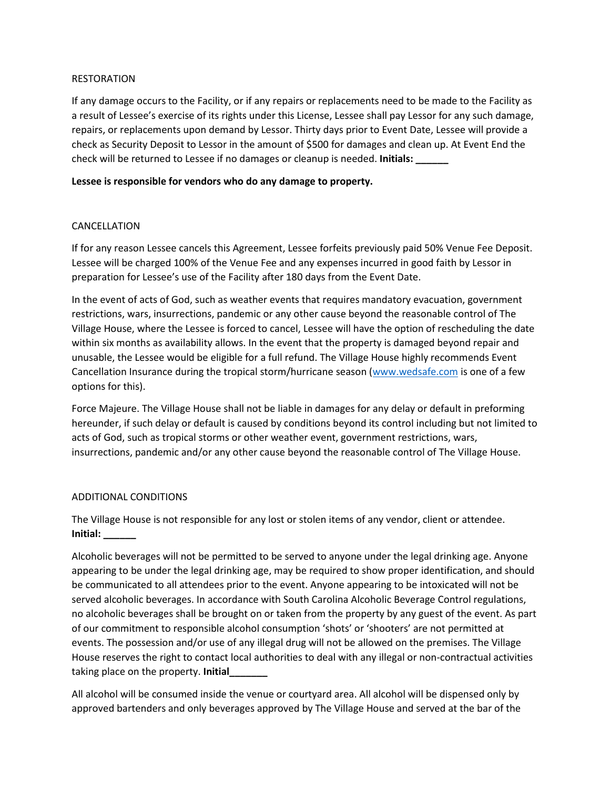# RESTORATION

If any damage occurs to the Facility, or if any repairs or replacements need to be made to the Facility as a result of Lessee's exercise of its rights under this License, Lessee shall pay Lessor for any such damage, repairs, or replacements upon demand by Lessor. Thirty days prior to Event Date, Lessee will provide a check as Security Deposit to Lessor in the amount of \$500 for damages and clean up. At Event End the check will be returned to Lessee if no damages or cleanup is needed. **Initials: \_\_\_\_\_\_**

# **Lessee is responsible for vendors who do any damage to property.**

# CANCELLATION

If for any reason Lessee cancels this Agreement, Lessee forfeits previously paid 50% Venue Fee Deposit. Lessee will be charged 100% of the Venue Fee and any expenses incurred in good faith by Lessor in preparation for Lessee's use of the Facility after 180 days from the Event Date.

In the event of acts of God, such as weather events that requires mandatory evacuation, government restrictions, wars, insurrections, pandemic or any other cause beyond the reasonable control of The Village House, where the Lessee is forced to cancel, Lessee will have the option of rescheduling the date within six months as availability allows. In the event that the property is damaged beyond repair and unusable, the Lessee would be eligible for a full refund. The Village House highly recommends Event Cancellation Insurance during the tropical storm/hurricane season [\(www.wedsafe.com](http://www.wedsafe.com/) is one of a few options for this).

Force Majeure. The Village House shall not be liable in damages for any delay or default in preforming hereunder, if such delay or default is caused by conditions beyond its control including but not limited to acts of God, such as tropical storms or other weather event, government restrictions, wars, insurrections, pandemic and/or any other cause beyond the reasonable control of The Village House.

# ADDITIONAL CONDITIONS

The Village House is not responsible for any lost or stolen items of any vendor, client or attendee. **Initial: \_\_\_\_\_\_**

Alcoholic beverages will not be permitted to be served to anyone under the legal drinking age. Anyone appearing to be under the legal drinking age, may be required to show proper identification, and should be communicated to all attendees prior to the event. Anyone appearing to be intoxicated will not be served alcoholic beverages. In accordance with South Carolina Alcoholic Beverage Control regulations, no alcoholic beverages shall be brought on or taken from the property by any guest of the event. As part of our commitment to responsible alcohol consumption 'shots' or 'shooters' are not permitted at events. The possession and/or use of any illegal drug will not be allowed on the premises. The Village House reserves the right to contact local authorities to deal with any illegal or non-contractual activities taking place on the property. **Initial\_\_\_\_\_\_\_**

All alcohol will be consumed inside the venue or courtyard area. All alcohol will be dispensed only by approved bartenders and only beverages approved by The Village House and served at the bar of the